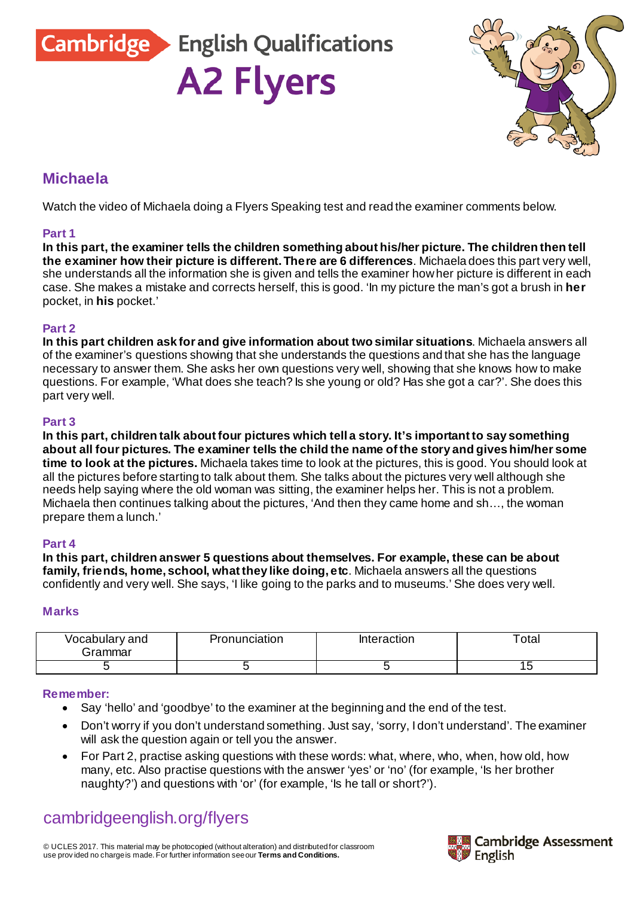Cambridge English Qualifications

**A2 Flyers** 

### **Michaela**

Watch the video of Michaela doing a Flyers Speaking test and read the examiner comments below.

#### **Part 1**

**In this part, the examiner tells the children something about his/her picture. The children then tell the examiner how their picture is different. There are 6 differences**. Michaela does this part very well, she understands all the information she is given and tells the examiner how her picture is different in each case. She makes a mistake and corrects herself, this is good. 'In my picture the man's got a brush in **her** pocket, in **his** pocket.'

#### **Part 2**

**In this part children ask for and give information about two similar situations**. Michaela answers all of the examiner's questions showing that she understands the questions and that she has the language necessary to answer them. She asks her own questions very well, showing that she knows how to make questions. For example, 'What does she teach? Is she young or old? Has she got a car?'. She does this part very well.

#### **Part 3**

**In this part, children talk about four pictures which tell a story. It's important to say something about all four pictures. The examiner tells the child the name of the story and gives him/her some time to look at the pictures.** Michaela takes time to look at the pictures, this is good. You should look at all the pictures before starting to talk about them. She talks about the pictures very well although she needs help saying where the old woman was sitting, the examiner helps her. This is not a problem. Michaela then continues talking about the pictures, 'And then they came home and sh…, the woman prepare them a lunch.'

#### **Part 4**

**In this part, children answer 5 questions about themselves. For example, these can be about family, friends, home, school, what they like doing, etc**. Michaela answers all the questions confidently and very well. She says, 'I like going to the parks and to museums.' She does very well.

#### **Marks**

| Vocabulary and<br>ان fammar | Pronunciation | Interaction | ota. |
|-----------------------------|---------------|-------------|------|
|                             |               |             |      |

#### **Remember:**

- Say 'hello' and 'goodbye' to the examiner at the beginning and the end of the test.
- Don't worry if you don't understand something. Just say, 'sorry, I don't understand'. The examiner will ask the question again or tell you the answer.
- For Part 2, practise asking questions with these words: what, where, who, when, how old, how many, etc. Also practise questions with the answer 'yes' or 'no' (for example, 'Is her brother naughty?') and questions with 'or' (for example, 'Is he tall or short?').

# [cambridgeenglish.org/flyers](http://cambridgeenglish.org/flyers)

© UCLES 2017. This material may be photocopied (without alteration) and distributed for classroom use prov ided no charge is made. For further information see our **[Terms and Conditions.](http://www.cambridgeenglish.org/footer/terms-and-conditions/)**